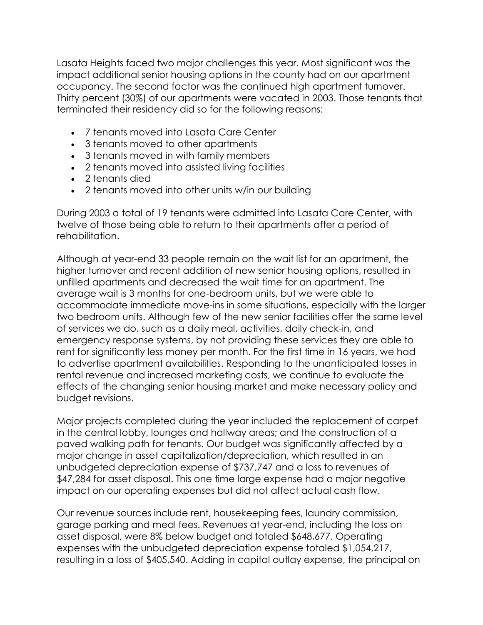Lasata Heights faced two major challenges this year. Most significant was the impact additional senior housing options in the county had on our apartment occupancy. The second factor was the continued high apartment turnover. Thirty percent (30%) of our apartments were vacated in 2003. Those tenants that terminated their residency did so for the following reasons:

- 7 tenants moved into Lasata Care Center
- 3 tenants moved to other apartments
- 3 tenants moved in with family members
- 2 tenants moved into assisted living facilities
- 2 tenants died
- 2 tenants moved into other units w/in our building

During 2003 a total of 19 tenants were admitted into Lasata Care Center, with twelve of those being able to return to their apartments after a period of rehabilitation.

Although at year-end 33 people remain on the wait list for an apartment, the higher turnover and recent addition of new senior housing options, resulted in unfilled apartments and decreased the wait time for an apartment. The average wait is 3 months for one-bedroom units, but we were able to accommodate immediate move-ins in some situations, especially with the larger two bedroom units. Although few of the new senior facilities offer the same level of services we do, such as a daily meal, activities, daily check-in, and emergency response systems, by not providing these services they are able to rent for significantly less money per month. For the first time in 16 years, we had to advertise apartment availabilities. Responding to the unanticipated losses in rental revenue and increased marketing costs, we continue to evaluate the effects of the changing senior housing market and make necessary policy and budget revisions.

Major projects completed during the year included the replacement of carpet in the central lobby, lounges and hallway areas; and the construction of a paved walking path for tenants. Our budget was significantly affected by a major change in asset capitalization/depreciation, which resulted in an unbudgeted depreciation expense of \$737,747 and a loss to revenues of \$47,284 for asset disposal. This one time large expense had a major negative impact on our operating expenses but did not affect actual cash flow.

Our revenue sources include rent, housekeeping fees, laundry commission, garage parking and meal fees. Revenues at year-end, including the loss on asset disposal, were 8% below budget and totaled \$648,677. Operating expenses with the unbudgeted depreciation expense totaled \$1,054,217, resulting in a loss of \$405,540. Adding in capital outlay expense, the principal on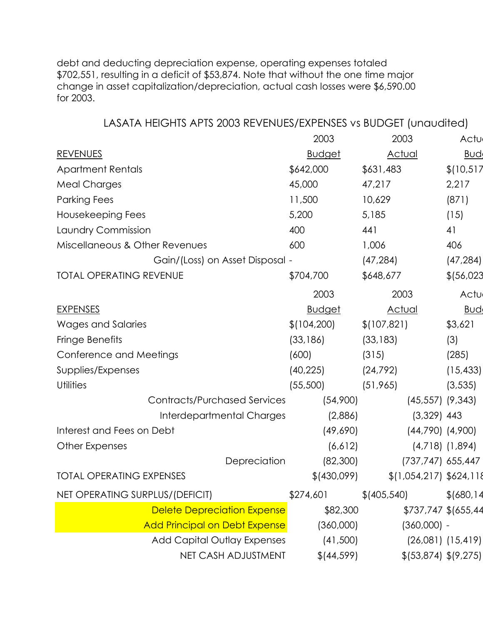debt and deducting depreciation expense, operating expenses totaled \$702,551, resulting in a deficit of \$53,874. Note that without the one time major change in asset capitalization/depreciation, actual cash losses were \$6,590.00 for 2003.

| LASATA HEIGHTS APTS 2003 REVENUES/EXPENSES vs BUDGET (unaudited) |                                      |               |                          |                     |  |  |
|------------------------------------------------------------------|--------------------------------------|---------------|--------------------------|---------------------|--|--|
|                                                                  |                                      | 2003          | 2003                     | Actu                |  |  |
| <b>REVENUES</b>                                                  |                                      | <b>Budget</b> | <b>Actual</b>            | <u>Bud</u>          |  |  |
| <b>Apartment Rentals</b>                                         |                                      | \$642,000     | \$631,483                | \$(10,517)          |  |  |
| <b>Meal Charges</b>                                              |                                      | 45,000        | 47,217                   | 2,217               |  |  |
| <b>Parking Fees</b>                                              |                                      | 11,500        | 10,629                   | (871)               |  |  |
| Housekeeping Fees                                                |                                      | 5,200         | 5,185                    | (15)                |  |  |
| Laundry Commission                                               |                                      | 400           | 441                      | 41                  |  |  |
| Miscellaneous & Other Revenues                                   |                                      | 600           | 1,006                    | 406                 |  |  |
|                                                                  | Gain/(Loss) on Asset Disposal -      |               | (47, 284)                | (47, 284)           |  |  |
| <b>TOTAL OPERATING REVENUE</b>                                   |                                      | \$704,700     | \$648,677                | \$ (56, 023)        |  |  |
|                                                                  |                                      | 2003          | 2003                     | Actu                |  |  |
| <b>EXPENSES</b>                                                  |                                      | <u>Budget</u> | <b>Actual</b>            | <b>Bud</b>          |  |  |
| <b>Wages and Salaries</b>                                        |                                      | \$(104,200)   | \$(107, 821)             | \$3,621             |  |  |
| Fringe Benefits                                                  |                                      | (33, 186)     | (33, 183)                | (3)                 |  |  |
| Conference and Meetings                                          |                                      | (600)         | (315)                    | (285)               |  |  |
| Supplies/Expenses                                                |                                      | (40, 225)     | (24, 792)                | (15, 433)           |  |  |
| <b>Utilities</b>                                                 |                                      | (55,500)      | (51, 965)                | (3, 535)            |  |  |
|                                                                  | <b>Contracts/Purchased Services</b>  | (54,900)      | $(45, 557)$ $(9, 343)$   |                     |  |  |
|                                                                  | Interdepartmental Charges            | (2,886)       | $(3,329)$ 443            |                     |  |  |
| Interest and Fees on Debt                                        |                                      | (49,690)      | $(44,790)$ $(4,900)$     |                     |  |  |
| Other Expenses                                                   |                                      | (6,612)       |                          | $(4,718)$ $(1,894)$ |  |  |
|                                                                  | Depreciation                         | (82,300)      | (737,747) 655,447        |                     |  |  |
| <b>TOTAL OPERATING EXPENSES</b>                                  |                                      | \$(430,099)   | \$(1,054,217) \$624,118  |                     |  |  |
| NET OPERATING SURPLUS/(DEFICIT)                                  |                                      | \$274,601     | \$(405,540)              | \$ (680, 14)        |  |  |
|                                                                  | <b>Delete Depreciation Expense</b>   | \$82,300      | \$737,747 \$(655,44      |                     |  |  |
|                                                                  | <b>Add Principal on Debt Expense</b> | (360,000)     | $(360,000) -$            |                     |  |  |
|                                                                  | <b>Add Capital Outlay Expenses</b>   | (41,500)      | $(26,081)$ $(15,419)$    |                     |  |  |
|                                                                  | NET CASH ADJUSTMENT                  | \$(44,599)    | $$$ (53,874) $$$ (9,275) |                     |  |  |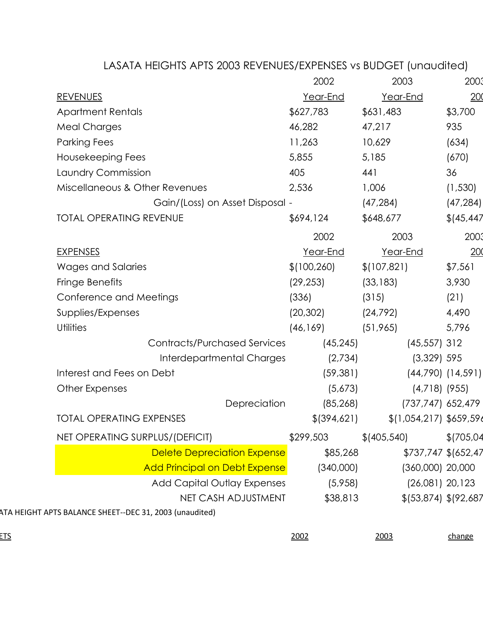|                                                         | 2002          | 2003                                                                                                                                                                                                                                     | 2003                                                                                                                                                                                                                                                                                                                                                                   |
|---------------------------------------------------------|---------------|------------------------------------------------------------------------------------------------------------------------------------------------------------------------------------------------------------------------------------------|------------------------------------------------------------------------------------------------------------------------------------------------------------------------------------------------------------------------------------------------------------------------------------------------------------------------------------------------------------------------|
| <b>REVENUES</b>                                         | Year-End      | Year-End                                                                                                                                                                                                                                 | 200                                                                                                                                                                                                                                                                                                                                                                    |
| <b>Apartment Rentals</b>                                | \$627,783     | \$631,483                                                                                                                                                                                                                                | \$3,700                                                                                                                                                                                                                                                                                                                                                                |
| <b>Meal Charges</b>                                     | 46,282        | 47,217                                                                                                                                                                                                                                   | 935                                                                                                                                                                                                                                                                                                                                                                    |
| <b>Parking Fees</b>                                     | 11,263        | 10,629                                                                                                                                                                                                                                   | (634)                                                                                                                                                                                                                                                                                                                                                                  |
| Housekeeping Fees                                       | 5,855         | 5,185                                                                                                                                                                                                                                    | (670)                                                                                                                                                                                                                                                                                                                                                                  |
| Laundry Commission                                      | 405           | 441                                                                                                                                                                                                                                      | 36                                                                                                                                                                                                                                                                                                                                                                     |
| Miscellaneous & Other Revenues                          | 2,536         | 1,006                                                                                                                                                                                                                                    | (1, 530)                                                                                                                                                                                                                                                                                                                                                               |
|                                                         |               | (47, 284)                                                                                                                                                                                                                                | (47, 284)                                                                                                                                                                                                                                                                                                                                                              |
| <b>TOTAL OPERATING REVENUE</b>                          | \$694,124     | \$648,677                                                                                                                                                                                                                                | \$ (45, 447)                                                                                                                                                                                                                                                                                                                                                           |
|                                                         | 2002          | 2003                                                                                                                                                                                                                                     | 2003                                                                                                                                                                                                                                                                                                                                                                   |
| <b>EXPENSES</b>                                         | Year-End      | Year-End                                                                                                                                                                                                                                 | 200                                                                                                                                                                                                                                                                                                                                                                    |
| Wages and Salaries                                      | \$(100, 260)  | \$(107, 821)                                                                                                                                                                                                                             | \$7,561                                                                                                                                                                                                                                                                                                                                                                |
| Fringe Benefits                                         | (29, 253)     | (33, 183)                                                                                                                                                                                                                                | 3,930                                                                                                                                                                                                                                                                                                                                                                  |
| Conference and Meetings                                 | (336)         | (315)                                                                                                                                                                                                                                    | (21)                                                                                                                                                                                                                                                                                                                                                                   |
| Supplies/Expenses                                       | (20, 302)     | (24, 792)                                                                                                                                                                                                                                | 4,490                                                                                                                                                                                                                                                                                                                                                                  |
| <b>Utilities</b>                                        | (46, 169)     | (51, 965)                                                                                                                                                                                                                                | 5,796                                                                                                                                                                                                                                                                                                                                                                  |
|                                                         | (45, 245)     |                                                                                                                                                                                                                                          |                                                                                                                                                                                                                                                                                                                                                                        |
|                                                         |               |                                                                                                                                                                                                                                          |                                                                                                                                                                                                                                                                                                                                                                        |
| Interest and Fees on Debt                               |               |                                                                                                                                                                                                                                          |                                                                                                                                                                                                                                                                                                                                                                        |
| Other Expenses                                          |               |                                                                                                                                                                                                                                          |                                                                                                                                                                                                                                                                                                                                                                        |
| Depreciation                                            |               |                                                                                                                                                                                                                                          |                                                                                                                                                                                                                                                                                                                                                                        |
| <b>TOTAL OPERATING EXPENSES</b>                         | \$ (394, 621) |                                                                                                                                                                                                                                          |                                                                                                                                                                                                                                                                                                                                                                        |
| NET OPERATING SURPLUS/(DEFICIT)                         | \$299,503     | \$ (405, 540)                                                                                                                                                                                                                            | \$(705,04)                                                                                                                                                                                                                                                                                                                                                             |
|                                                         |               |                                                                                                                                                                                                                                          |                                                                                                                                                                                                                                                                                                                                                                        |
|                                                         |               |                                                                                                                                                                                                                                          |                                                                                                                                                                                                                                                                                                                                                                        |
|                                                         |               |                                                                                                                                                                                                                                          |                                                                                                                                                                                                                                                                                                                                                                        |
| NET CASH ADJUSTMENT                                     |               |                                                                                                                                                                                                                                          |                                                                                                                                                                                                                                                                                                                                                                        |
| ATA HEIGHT APTS BALANCE SHEET--DEC 31, 2003 (unaudited) |               |                                                                                                                                                                                                                                          |                                                                                                                                                                                                                                                                                                                                                                        |
|                                                         | 2002          | 2003                                                                                                                                                                                                                                     | change                                                                                                                                                                                                                                                                                                                                                                 |
|                                                         |               | Gain/(Loss) on Asset Disposal -<br><b>Contracts/Purchased Services</b><br>Interdepartmental Charges<br>(85, 268)<br><b>Delete Depreciation Expense</b><br><b>Add Principal on Debt Expense</b><br>Add Capital Outlay Expenses<br>(5,958) | LASATA HEIGHTS APTS 2003 REVENUES/EXPENSES vs BUDGET (unaudited)<br>$(45, 557)$ 312<br>$(3,329)$ 595<br>(2,734)<br>$(44,790)$ $(14,591)$<br>(59, 381)<br>(5,673)<br>$(4,718)$ (955)<br>(737,747) 652,479<br>$$(1,054,217)$ \$659,596<br>\$85,268<br>\$737,747 \$(652,47<br>$(360,000)$ 20,000<br>(340,000)<br>$(26,081)$ 20,123<br>\$38,813<br>\$ (53,874) \$ (92,687) |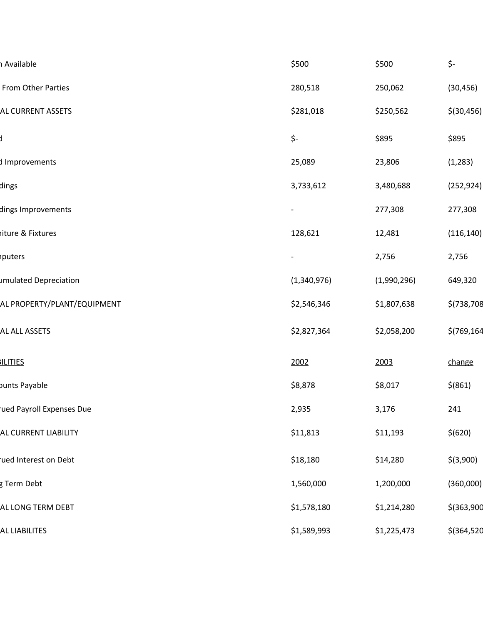| h Available                 | \$500       | \$500       | \$-          |
|-----------------------------|-------------|-------------|--------------|
| From Other Parties          | 280,518     | 250,062     | (30, 456)    |
| <b>AL CURRENT ASSETS</b>    | \$281,018   | \$250,562   | \$(30, 456)  |
|                             | \$-         | \$895       | \$895        |
| d Improvements              | 25,089      | 23,806      | (1, 283)     |
| dings                       | 3,733,612   | 3,480,688   | (252, 924)   |
| dings Improvements          |             | 277,308     | 277,308      |
| iiture & Fixtures           | 128,621     | 12,481      | (116, 140)   |
| <i>nputers</i>              |             | 2,756       | 2,756        |
| umulated Depreciation       | (1,340,976) | (1,990,296) | 649,320      |
| AL PROPERTY/PLANT/EQUIPMENT | \$2,546,346 | \$1,807,638 | \$(738,708   |
| <b>AL ALL ASSETS</b>        | \$2,827,364 | \$2,058,200 | \$(769, 164) |
| <b>ILITIES</b>              | 2002        | 2003        | change       |
| bunts Payable               | \$8,878     | \$8,017     | $$$ (861)    |
| ued Payroll Expenses Due    | 2,935       | 3,176       | 241          |
| AL CURRENT LIABILITY        | \$11,813    | \$11,193    | \$(620)      |
| ued Interest on Debt        | \$18,180    | \$14,280    | $$$ (3,900)  |
| g Term Debt                 | 1,560,000   | 1,200,000   | (360,000)    |
| AL LONG TERM DEBT           | \$1,578,180 | \$1,214,280 | $$$ (363,900 |
| <b>AL LIABILITES</b>        | \$1,589,993 | \$1,225,473 | $$$ (364,520 |